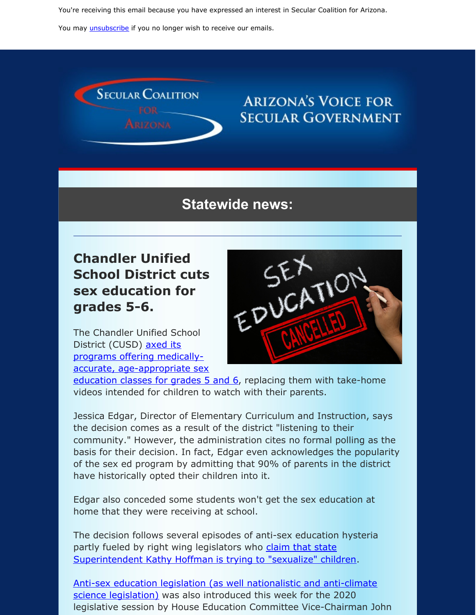You're receiving this email because you have expressed an interest in Secular Coalition for Arizona.

You may *[unsubscribe](https://visitor.constantcontact.com/do?p=un&m=001P9cdir9A6TjtWqZlUS4EUA%3D%3D&ch=&ca=dd841745-c236-45fb-acab-cd1f490515d8)* if you no longer wish to receive our emails.



## **ARIZONA'S VOICE FOR SECULAR GOVERNMENT**

## **Statewide news:**

## **Chandler Unified School District cuts sex education for grades 5-6.**

The Chandler Unified School District (CUSD) axed its programs offering medicallyaccurate, [age-appropriate](https://www.azfamily.com/news/chandler-school-district-canceling-sex-education-in-school-parents-say/article_c63dbc0e-0c11-11ea-b9fd-57daa2f46369.html) sex



education classes for grades 5 and 6, replacing them with take-home videos intended for children to watch with their parents.

Jessica Edgar, Director of Elementary Curriculum and Instruction, says the decision comes as a result of the district "listening to their community." However, the administration cites no formal polling as the basis for their decision. In fact, Edgar even acknowledges the popularity of the sex ed program by admitting that 90% of parents in the district have historically opted their children into it.

Edgar also conceded some students won't get the sex education at home that they were receiving at school.

The decision follows several episodes of anti-sex education hysteria partly fueled by right wing legislators who claim that state [Superintendent](https://www.azmirror.com/2019/09/25/turning-sex-education-into-something-dirty/) Kathy Hoffman is trying to "sexualize" children.

Anti-sex education legislation (as well [nationalistic](https://www.azmirror.com/blog/fillmore-bills-target-teacher-pay-climate-crisis-indoctrination-pledge-of-allegiance/) and anti-climate science legislation) was also introduced this week for the 2020 legislative session by House Education Committee Vice-Chairman John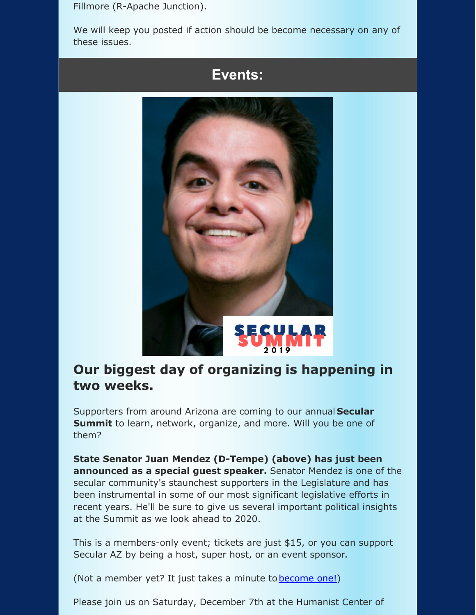Fillmore (R-Apache Junction).

We will keep you posted if action should be become necessary on any of these issues.





## **Our biggest day of [organizing](https://secularaz.org/vocabulary_3/events/) is happening in two weeks.**

Supporters from around Arizona are coming to our annual **Secular Summit** to learn, network, organize, and more. Will you be one of them?

**State Senator Juan Mendez (D-Tempe) (above) has just been announced as a special guest speaker.** Senator Mendez is one of the secular community's staunchest supporters in the Legislature and has been instrumental in some of our most significant legislative efforts in recent years. He'll be sure to give us several important political insights at the Summit as we look ahead to 2020.

This is a members-only event; tickets are just \$15, or you can support Secular AZ by being a host, super host, or an event sponsor.

(Not a member yet? It just takes a minute to **[become](https://secularaz.org/product-category/donate-membership/) one!)** 

Please join us on Saturday, December 7th at the Humanist Center of